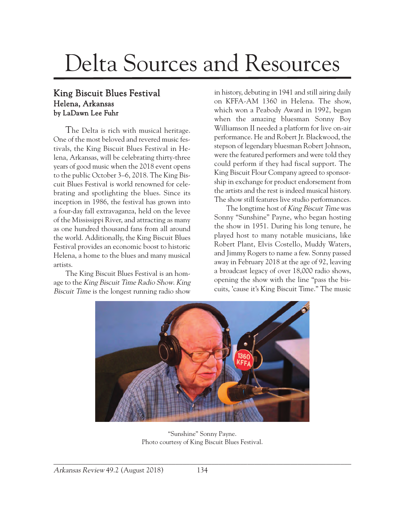## Delta Sources and Resources

## King Biscuit Blues Festival Helena, Arkansas by LaDawn Lee Fuhr

The Delta is rich with musical heritage. One of the most beloved and revered music festivals, the King Biscuit Blues Festival in Helena, Arkansas, will be celebrating thirty-three years of good music when the 2018 event opens to the public October 3–6, 2018. The King Biscuit Blues Festival is world renowned for celebrating and spotlighting the blues. Since its inception in 1986, the festival has grown into a four-day fall extravaganza, held on the levee of the Mississippi River, and attracting as many as one hundred thousand fans from all around the world. Additionally, the King Biscuit Blues Festival provides an economic boost to historic Helena, a home to the blues and many musical artists.

The King Biscuit Blues Festival is an homage to the King Biscuit Time Radio Show. King Biscuit Time is the longest running radio show

in history, debuting in 1941 and still airing daily on KFFA-AM 1360 in Helena. The show, which won a Peabody Award in 1992, began when the amazing bluesman Sonny Boy Williamson II needed a platform for live on-air performance. He and Robert Jr. Blackwood, the stepson of legendary bluesman Robert Johnson, were the featured performers and were told they could perform if they had fiscal support. The King Biscuit Flour Company agreed to sponsorship in exchange for product endorsement from the artists and the rest is indeed musical history. The show still features live studio performances.

The longtime host of King Biscuit Time was Sonny "Sunshine" Payne, who began hosting the show in 1951. During his long tenure, he played host to many notable musicians, like Robert Plant, Elvis Costello, Muddy Waters, and Jimmy Rogers to name a few. Sonny passed away in February 2018 at the age of 92, leaving a broadcast legacy of over 18,000 radio shows, opening the show with the line "pass the biscuits, 'cause it's King Biscuit Time." The music



"Sunshine" Sonny Payne. Photo courtesy of King Biscuit Blues Festival.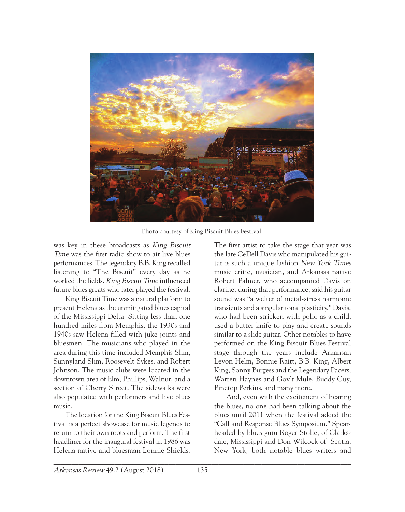

Photo courtesy of King Biscuit Blues Festival.

was key in these broadcasts as King Biscuit Time was the first radio show to air live blues performances. The legendary B.B. King recalled listening to "The Biscuit" every day as he worked the fields. King Biscuit Time influenced future blues greats who later played the festival.

King Biscuit Time was a natural platform to present Helena as the unmitigated blues capital of the Mississippi Delta. Sitting less than one hundred miles from Memphis, the 1930s and 1940s saw Helena filled with juke joints and bluesmen. The musicians who played in the area during this time included Memphis Slim, Sunnyland Slim, Roosevelt Sykes, and Robert Johnson. The music clubs were located in the downtown area of Elm, Phillips, Walnut, and a section of Cherry Street. The sidewalks were also populated with performers and live blues music.

The location for the King Biscuit Blues Festival is a perfect showcase for music legends to return to their own roots and perform. The first headliner for the inaugural festival in 1986 was Helena native and bluesman Lonnie Shields. The first artist to take the stage that year was the late CeDell Davis who manipulated his guitar is such a unique fashion New York Times music critic, musician, and Arkansas native Robert Palmer, who accompanied Davis on clarinet during that performance, said his guitar sound was "a welter of metal-stress harmonic transients and a singular tonal plasticity." Davis, who had been stricken with polio as a child, used a butter knife to play and create sounds similar to a slide guitar. Other notables to have performed on the King Biscuit Blues Festival stage through the years include Arkansan Levon Helm, Bonnie Raitt, B.B. King, Albert King, Sonny Burgess and the Legendary Pacers, Warren Haynes and Gov't Mule, Buddy Guy, Pinetop Perkins, and many more.

And, even with the excitement of hearing the blues, no one had been talking about the blues until 2011 when the festival added the "Call and Response Blues Symposium." Spearheaded by blues guru Roger Stolle, of Clarksdale, Mississippi and Don Wilcock of Scotia, New York, both notable blues writers and